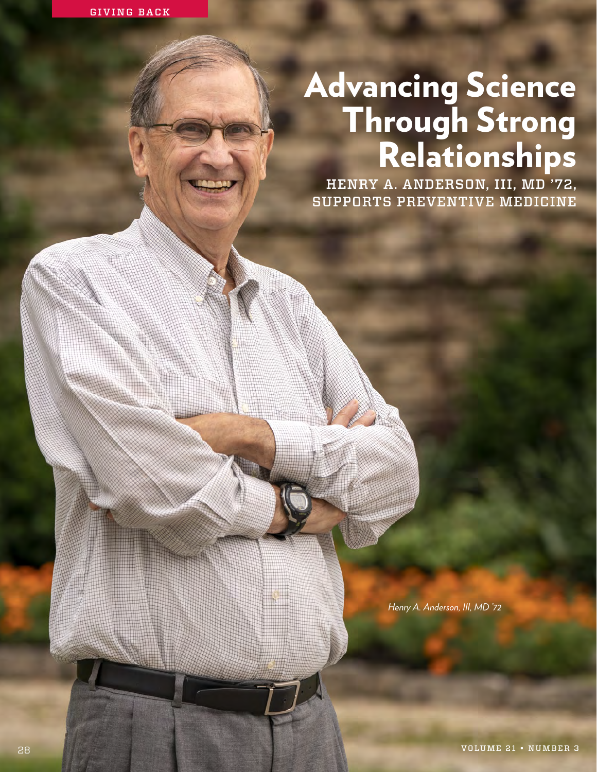# Advancing Science Through Strong Relationships

HENRY A. ANDERSON, III, MD '72, SUPPORTS PREVENTIVE MEDICINE

*Henry A. Anderson, III, MD '72*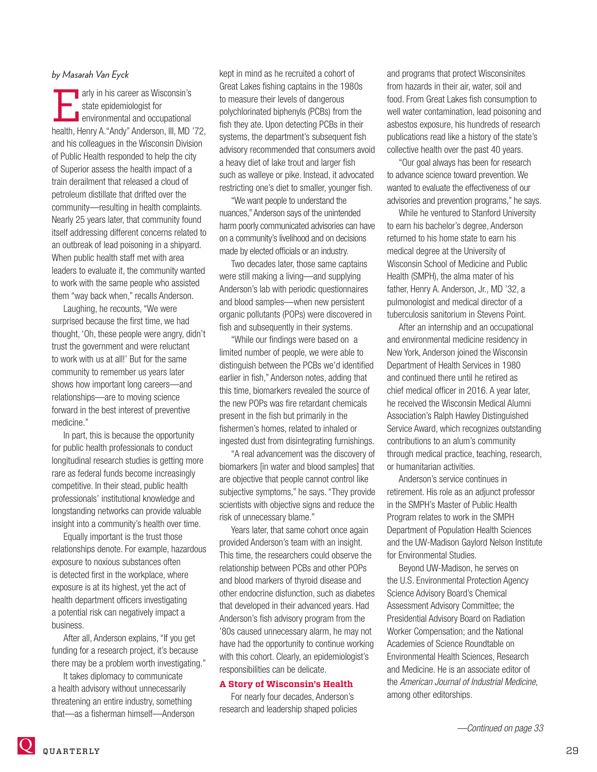# *by Masarah Van Eyck*

arly in his career as Wisconsin's<br>state epidemiologist for<br>environmental and occupational<br>health Henry A "Andy" Anderson III MD state epidemiologist for environmental and occupational health, Henry A."Andy" Anderson, III, MD '72, and his colleagues in the Wisconsin Division of Public Health responded to help the city of Superior assess the health impact of a train derailment that released a cloud of petroleum distillate that drifted over the community—resulting in health complaints. Nearly 25 years later, that community found itself addressing different concerns related to an outbreak of lead poisoning in a shipyard. When public health staff met with area leaders to evaluate it, the community wanted to work with the same people who assisted them "way back when," recalls Anderson.

Laughing, he recounts, "We were surprised because the first time, we had thought, 'Oh, these people were angry, didn't trust the government and were reluctant to work with us at all!' But for the same community to remember us years later shows how important long careers—and relationships—are to moving science forward in the best interest of preventive medicine."

In part, this is because the opportunity for public health professionals to conduct longitudinal research studies is getting more rare as federal funds become increasingly competitive. In their stead, public health professionals' institutional knowledge and longstanding networks can provide valuable insight into a community's health over time.

Equally important is the trust those relationships denote. For example, hazardous exposure to noxious substances often is detected first in the workplace, where exposure is at its highest, yet the act of health department officers investigating a potential risk can negatively impact a business.

After all, Anderson explains, "If you get funding for a research project, it's because there may be a problem worth investigating."

It takes diplomacy to communicate a health advisory without unnecessarily threatening an entire industry, something that—as a fisherman himself—Anderson kept in mind as he recruited a cohort of Great Lakes fishing captains in the 1980s to measure their levels of dangerous polychlorinated biphenyls (PCBs) from the fish they ate. Upon detecting PCBs in their systems, the department's subsequent fish advisory recommended that consumers avoid a heavy diet of lake trout and larger fish such as walleye or pike. Instead, it advocated restricting one's diet to smaller, younger fish.

"We want people to understand the nuances," Anderson says of the unintended harm poorly communicated advisories can have on a community's livelihood and on decisions made by elected officials or an industry.

Two decades later, those same captains were still making a living—and supplying Anderson's lab with periodic questionnaires and blood samples—when new persistent organic pollutants (POPs) were discovered in fish and subsequently in their systems.

"While our findings were based on a limited number of people, we were able to distinguish between the PCBs we'd identified earlier in fish," Anderson notes, adding that this time, biomarkers revealed the source of the new POPs was fire retardant chemicals present in the fish but primarily in the fishermen's homes, related to inhaled or ingested dust from disintegrating furnishings.

"A real advancement was the discovery of biomarkers [in water and blood samples] that are objective that people cannot control like subjective symptoms," he says. "They provide scientists with objective signs and reduce the risk of unnecessary blame."

Years later, that same cohort once again provided Anderson's team with an insight. This time, the researchers could observe the relationship between PCBs and other POPs and blood markers of thyroid disease and other endocrine disfunction, such as diabetes that developed in their advanced years. Had Anderson's fish advisory program from the '80s caused unnecessary alarm, he may not have had the opportunity to continue working with this cohort. Clearly, an epidemiologist's responsibilities can be delicate.

### **A Story of Wisconsin's Health**

For nearly four decades, Anderson's research and leadership shaped policies and programs that protect Wisconsinites from hazards in their air, water, soil and food. From Great Lakes fish consumption to well water contamination, lead poisoning and asbestos exposure, his hundreds of research publications read like a history of the state's collective health over the past 40 years.

"Our goal always has been for research to advance science toward prevention. We wanted to evaluate the effectiveness of our advisories and prevention programs," he says.

While he ventured to Stanford University to earn his bachelor's degree, Anderson returned to his home state to earn his medical degree at the University of Wisconsin School of Medicine and Public Health (SMPH), the alma mater of his father, Henry A. Anderson, Jr., MD '32, a pulmonologist and medical director of a tuberculosis sanitorium in Stevens Point.

After an internship and an occupational and environmental medicine residency in New York, Anderson joined the Wisconsin Department of Health Services in 1980 and continued there until he retired as chief medical officer in 2016. A year later, he received the Wisconsin Medical Alumni Association's Ralph Hawley Distinguished Service Award, which recognizes outstanding contributions to an alum's community through medical practice, teaching, research, or humanitarian activities.

Anderson's service continues in retirement. His role as an adjunct professor in the SMPH's Master of Public Health Program relates to work in the SMPH Department of Population Health Sciences and the UW-Madison Gaylord Nelson Institute for Environmental Studies.

Beyond UW-Madison, he serves on the U.S. Environmental Protection Agency Science Advisory Board's Chemical Assessment Advisory Committee; the Presidential Advisory Board on Radiation Worker Compensation; and the National Academies of Science Roundtable on Environmental Health Sciences, Research and Medicine. He is an associate editor of the *American Journal of Industrial Medicine*, among other editorships.